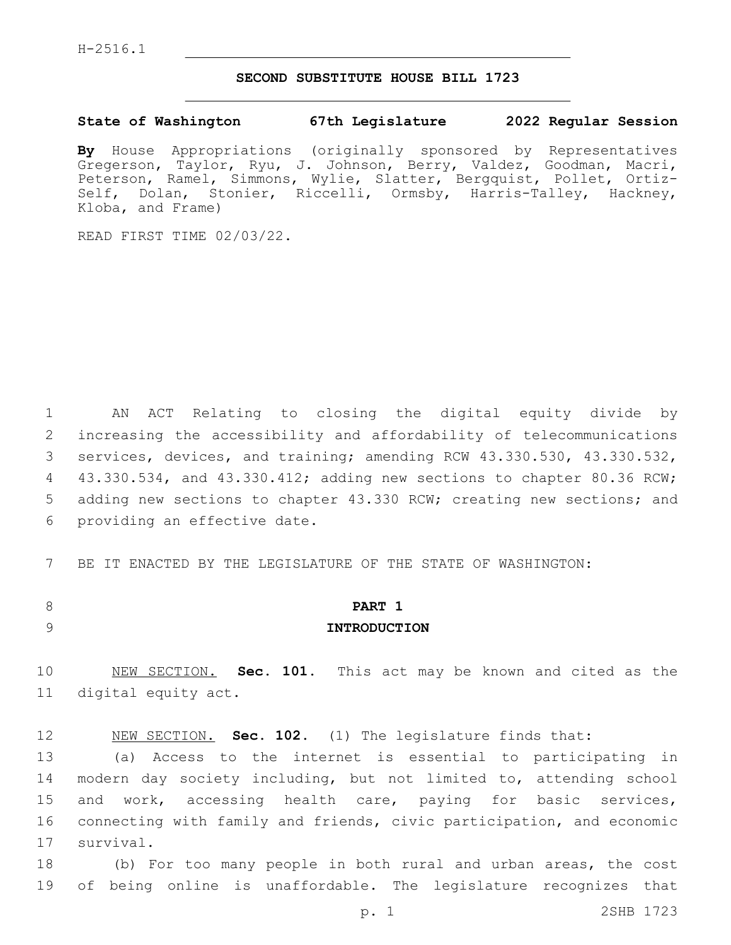## **SECOND SUBSTITUTE HOUSE BILL 1723**

#### **State of Washington 67th Legislature 2022 Regular Session**

**By** House Appropriations (originally sponsored by Representatives Gregerson, Taylor, Ryu, J. Johnson, Berry, Valdez, Goodman, Macri, Peterson, Ramel, Simmons, Wylie, Slatter, Bergquist, Pollet, Ortiz-Self, Dolan, Stonier, Riccelli, Ormsby, Harris-Talley, Hackney, Kloba, and Frame)

READ FIRST TIME 02/03/22.

1 AN ACT Relating to closing the digital equity divide by 2 increasing the accessibility and affordability of telecommunications 3 services, devices, and training; amending RCW 43.330.530, 43.330.532, 4 43.330.534, and 43.330.412; adding new sections to chapter 80.36 RCW; 5 adding new sections to chapter 43.330 RCW; creating new sections; and 6 providing an effective date.

7 BE IT ENACTED BY THE LEGISLATURE OF THE STATE OF WASHINGTON:

# 8 **PART 1** 9 **INTRODUCTION**

10 NEW SECTION. **Sec. 101.** This act may be known and cited as the 11 digital equity act.

12 NEW SECTION. **Sec. 102.** (1) The legislature finds that:

13 (a) Access to the internet is essential to participating in 14 modern day society including, but not limited to, attending school 15 and work, accessing health care, paying for basic services, 16 connecting with family and friends, civic participation, and economic 17 survival.

18 (b) For too many people in both rural and urban areas, the cost 19 of being online is unaffordable. The legislature recognizes that

p. 1 2SHB 1723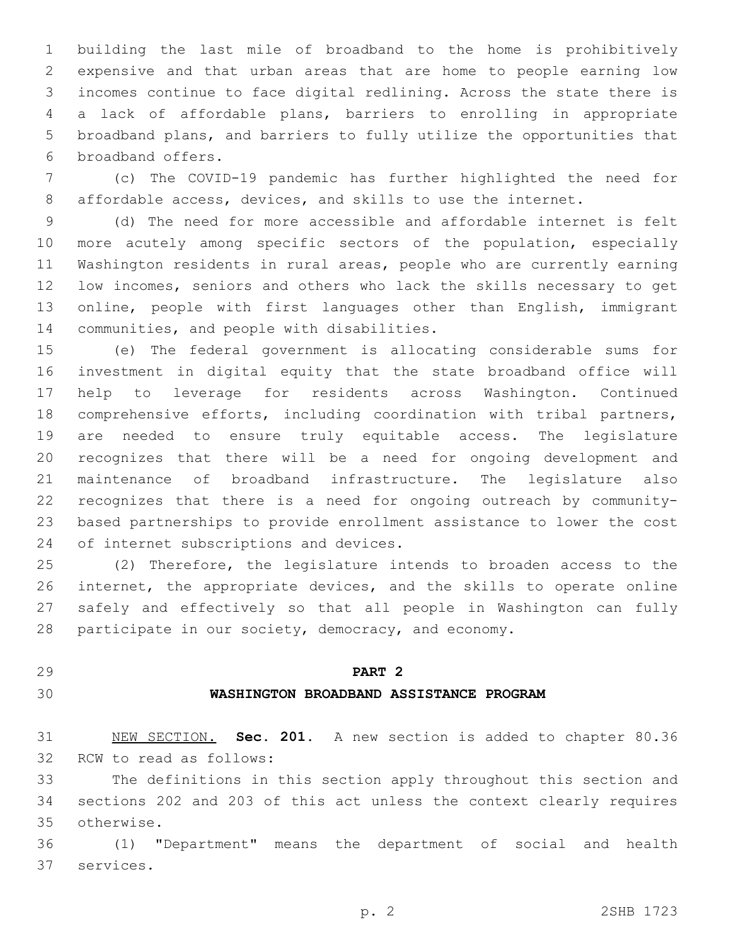building the last mile of broadband to the home is prohibitively expensive and that urban areas that are home to people earning low incomes continue to face digital redlining. Across the state there is a lack of affordable plans, barriers to enrolling in appropriate broadband plans, and barriers to fully utilize the opportunities that 6 broadband offers.

 (c) The COVID-19 pandemic has further highlighted the need for affordable access, devices, and skills to use the internet.

 (d) The need for more accessible and affordable internet is felt more acutely among specific sectors of the population, especially Washington residents in rural areas, people who are currently earning low incomes, seniors and others who lack the skills necessary to get online, people with first languages other than English, immigrant 14 communities, and people with disabilities.

 (e) The federal government is allocating considerable sums for investment in digital equity that the state broadband office will help to leverage for residents across Washington. Continued comprehensive efforts, including coordination with tribal partners, are needed to ensure truly equitable access. The legislature recognizes that there will be a need for ongoing development and maintenance of broadband infrastructure. The legislature also recognizes that there is a need for ongoing outreach by community- based partnerships to provide enrollment assistance to lower the cost 24 of internet subscriptions and devices.

 (2) Therefore, the legislature intends to broaden access to the internet, the appropriate devices, and the skills to operate online safely and effectively so that all people in Washington can fully participate in our society, democracy, and economy.

# **PART 2**

## **WASHINGTON BROADBAND ASSISTANCE PROGRAM**

 NEW SECTION. **Sec. 201.** A new section is added to chapter 80.36 32 RCW to read as follows:

 The definitions in this section apply throughout this section and sections 202 and 203 of this act unless the context clearly requires otherwise.35

 (1) "Department" means the department of social and health 37 services.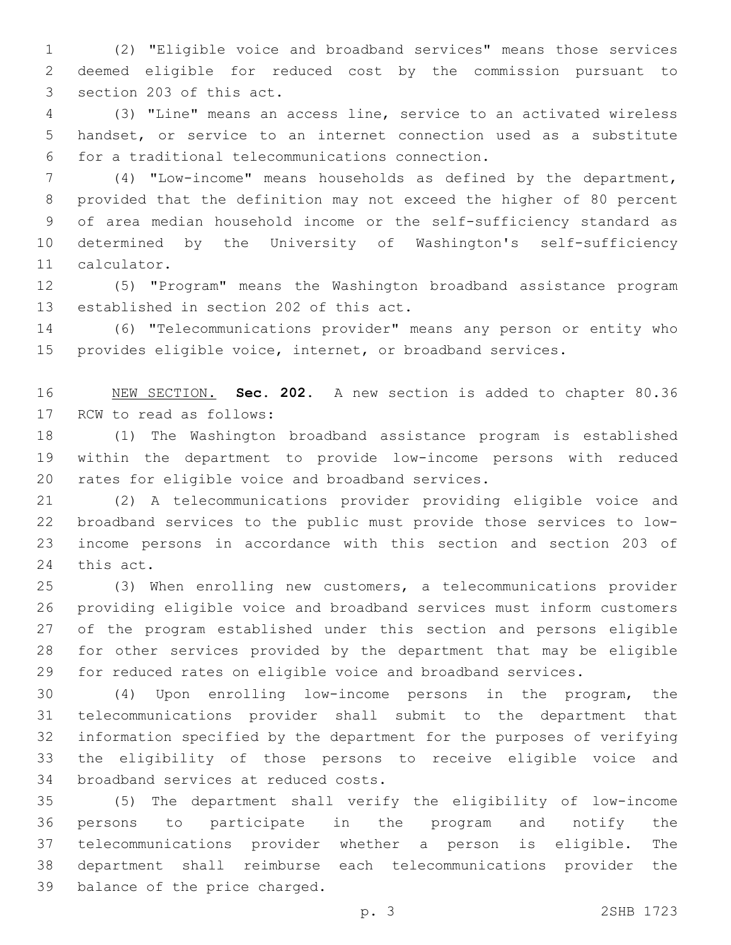(2) "Eligible voice and broadband services" means those services deemed eligible for reduced cost by the commission pursuant to 3 section 203 of this act.

 (3) "Line" means an access line, service to an activated wireless handset, or service to an internet connection used as a substitute for a traditional telecommunications connection.6

 (4) "Low-income" means households as defined by the department, provided that the definition may not exceed the higher of 80 percent of area median household income or the self-sufficiency standard as determined by the University of Washington's self-sufficiency 11 calculator.

 (5) "Program" means the Washington broadband assistance program 13 established in section 202 of this act.

 (6) "Telecommunications provider" means any person or entity who provides eligible voice, internet, or broadband services.

 NEW SECTION. **Sec. 202.** A new section is added to chapter 80.36 17 RCW to read as follows:

 (1) The Washington broadband assistance program is established within the department to provide low-income persons with reduced 20 rates for eligible voice and broadband services.

 (2) A telecommunications provider providing eligible voice and broadband services to the public must provide those services to low- income persons in accordance with this section and section 203 of 24 this act.

 (3) When enrolling new customers, a telecommunications provider providing eligible voice and broadband services must inform customers of the program established under this section and persons eligible for other services provided by the department that may be eligible for reduced rates on eligible voice and broadband services.

 (4) Upon enrolling low-income persons in the program, the telecommunications provider shall submit to the department that information specified by the department for the purposes of verifying the eligibility of those persons to receive eligible voice and 34 broadband services at reduced costs.

 (5) The department shall verify the eligibility of low-income persons to participate in the program and notify the telecommunications provider whether a person is eligible. The department shall reimburse each telecommunications provider the 39 balance of the price charged.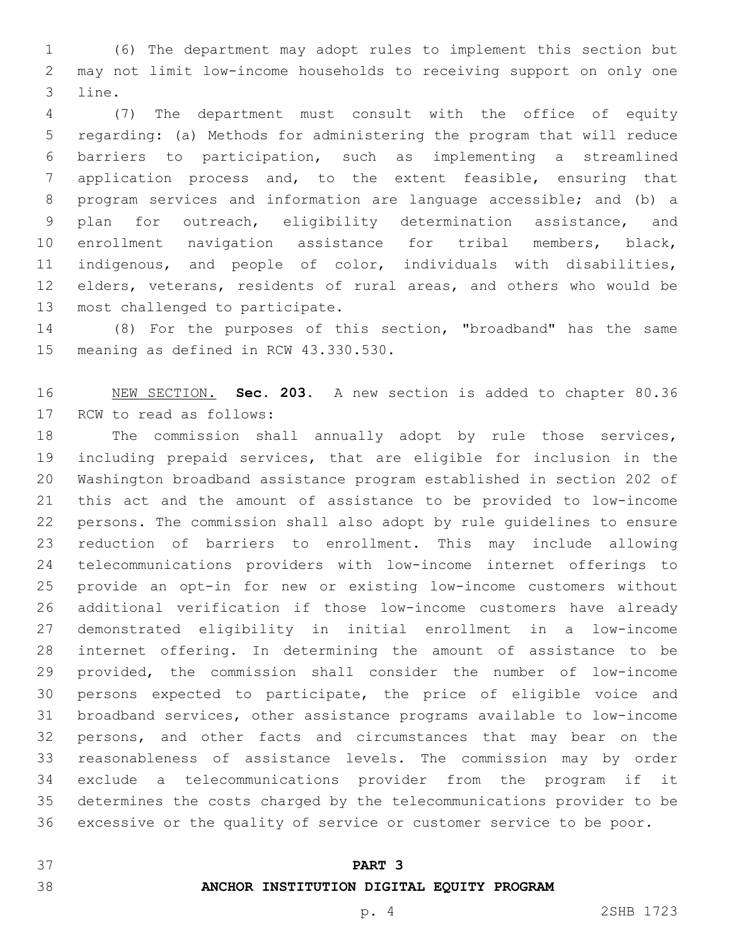(6) The department may adopt rules to implement this section but may not limit low-income households to receiving support on only one 3 line.

 (7) The department must consult with the office of equity regarding: (a) Methods for administering the program that will reduce barriers to participation, such as implementing a streamlined application process and, to the extent feasible, ensuring that program services and information are language accessible; and (b) a plan for outreach, eligibility determination assistance, and enrollment navigation assistance for tribal members, black, indigenous, and people of color, individuals with disabilities, elders, veterans, residents of rural areas, and others who would be 13 most challenged to participate.

 (8) For the purposes of this section, "broadband" has the same 15 meaning as defined in RCW 43.330.530.

 NEW SECTION. **Sec. 203.** A new section is added to chapter 80.36 17 RCW to read as follows:

 The commission shall annually adopt by rule those services, including prepaid services, that are eligible for inclusion in the Washington broadband assistance program established in section 202 of this act and the amount of assistance to be provided to low-income persons. The commission shall also adopt by rule guidelines to ensure reduction of barriers to enrollment. This may include allowing telecommunications providers with low-income internet offerings to provide an opt-in for new or existing low-income customers without additional verification if those low-income customers have already demonstrated eligibility in initial enrollment in a low-income internet offering. In determining the amount of assistance to be provided, the commission shall consider the number of low-income persons expected to participate, the price of eligible voice and broadband services, other assistance programs available to low-income persons, and other facts and circumstances that may bear on the reasonableness of assistance levels. The commission may by order exclude a telecommunications provider from the program if it determines the costs charged by the telecommunications provider to be excessive or the quality of service or customer service to be poor.

**PART 3**

# **ANCHOR INSTITUTION DIGITAL EQUITY PROGRAM**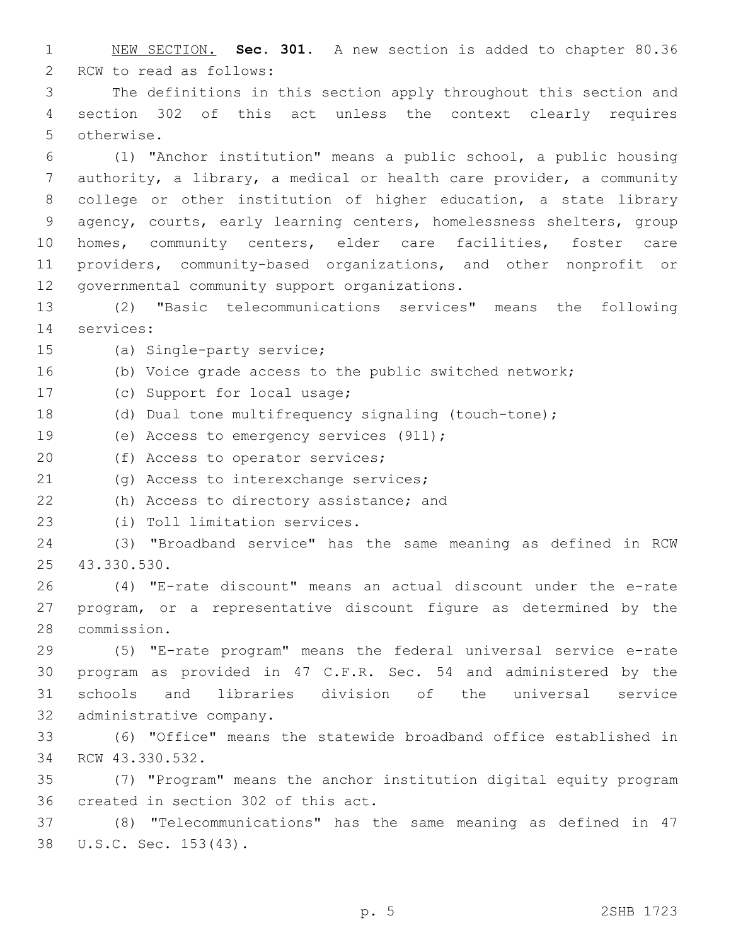1 NEW SECTION. **Sec. 301.** A new section is added to chapter 80.36 2 RCW to read as follows: 3 The definitions in this section apply throughout this section and 4 section 302 of this act unless the context clearly requires 5 otherwise. 6 (1) "Anchor institution" means a public school, a public housing 7 authority, a library, a medical or health care provider, a community 8 college or other institution of higher education, a state library 9 agency, courts, early learning centers, homelessness shelters, group 10 homes, community centers, elder care facilities, foster care 11 providers, community-based organizations, and other nonprofit or 12 governmental community support organizations. 13 (2) "Basic telecommunications services" means the following 14 services: 15 (a) Single-party service; 16 (b) Voice grade access to the public switched network; 17 (c) Support for local usage; 18 (d) Dual tone multifrequency signaling (touch-tone); 19 (e) Access to emergency services (911); 20 (f) Access to operator services; 21 (g) Access to interexchange services; 22 (h) Access to directory assistance; and 23 (i) Toll limitation services. 24 (3) "Broadband service" has the same meaning as defined in RCW 43.330.530.25 26 (4) "E-rate discount" means an actual discount under the e-rate 27 program, or a representative discount figure as determined by the 28 commission. 29 (5) "E-rate program" means the federal universal service e-rate 30 program as provided in 47 C.F.R. Sec. 54 and administered by the

31 schools and libraries division of the universal service 32 administrative company.

33 (6) "Office" means the statewide broadband office established in 34 RCW 43.330.532.

35 (7) "Program" means the anchor institution digital equity program 36 created in section 302 of this act.

37 (8) "Telecommunications" has the same meaning as defined in 47 38 U.S.C. Sec. 153(43).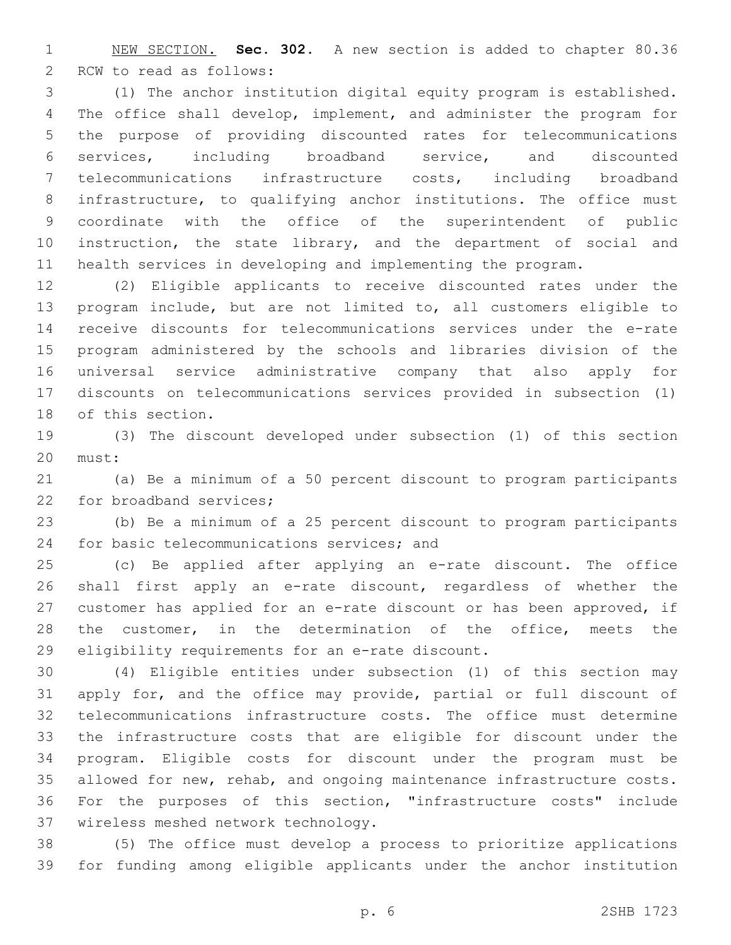NEW SECTION. **Sec. 302.** A new section is added to chapter 80.36 2 RCW to read as follows:

 (1) The anchor institution digital equity program is established. The office shall develop, implement, and administer the program for the purpose of providing discounted rates for telecommunications services, including broadband service, and discounted telecommunications infrastructure costs, including broadband infrastructure, to qualifying anchor institutions. The office must coordinate with the office of the superintendent of public instruction, the state library, and the department of social and health services in developing and implementing the program.

 (2) Eligible applicants to receive discounted rates under the program include, but are not limited to, all customers eligible to receive discounts for telecommunications services under the e-rate program administered by the schools and libraries division of the universal service administrative company that also apply for discounts on telecommunications services provided in subsection (1) 18 of this section.

 (3) The discount developed under subsection (1) of this section 20 must:

 (a) Be a minimum of a 50 percent discount to program participants 22 for broadband services;

 (b) Be a minimum of a 25 percent discount to program participants 24 for basic telecommunications services; and

 (c) Be applied after applying an e-rate discount. The office shall first apply an e-rate discount, regardless of whether the customer has applied for an e-rate discount or has been approved, if 28 the customer, in the determination of the office, meets the 29 eligibility requirements for an e-rate discount.

 (4) Eligible entities under subsection (1) of this section may apply for, and the office may provide, partial or full discount of telecommunications infrastructure costs. The office must determine the infrastructure costs that are eligible for discount under the program. Eligible costs for discount under the program must be allowed for new, rehab, and ongoing maintenance infrastructure costs. For the purposes of this section, "infrastructure costs" include 37 wireless meshed network technology.

 (5) The office must develop a process to prioritize applications for funding among eligible applicants under the anchor institution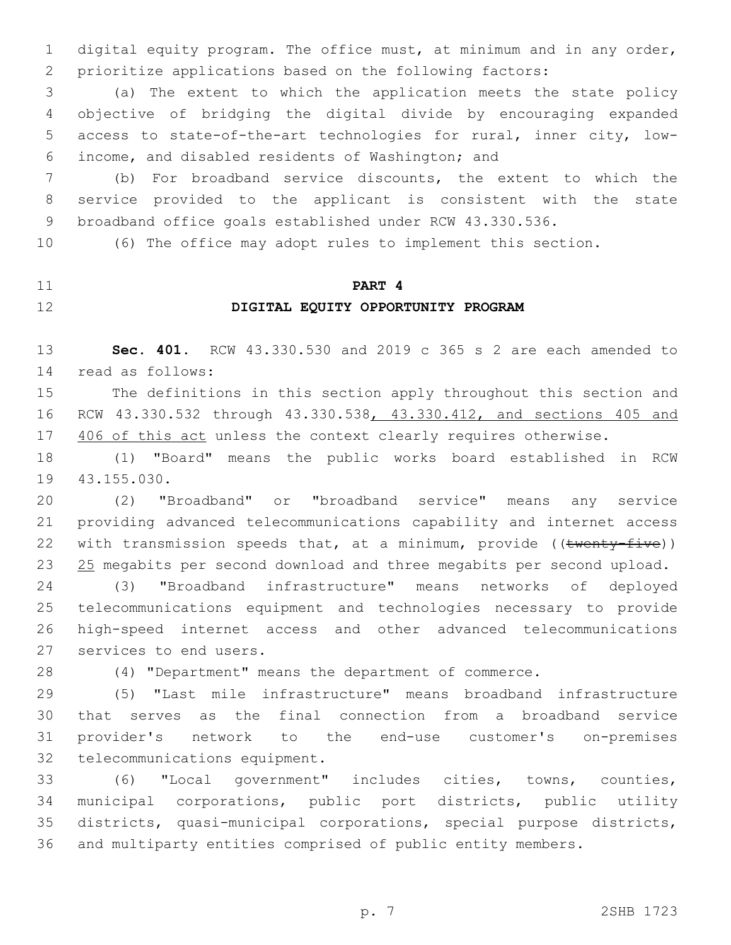digital equity program. The office must, at minimum and in any order, prioritize applications based on the following factors:

 (a) The extent to which the application meets the state policy objective of bridging the digital divide by encouraging expanded access to state-of-the-art technologies for rural, inner city, lowincome, and disabled residents of Washington; and6

 (b) For broadband service discounts, the extent to which the service provided to the applicant is consistent with the state broadband office goals established under RCW 43.330.536.

(6) The office may adopt rules to implement this section.

# **PART 4 DIGITAL EQUITY OPPORTUNITY PROGRAM**

 **Sec. 401.** RCW 43.330.530 and 2019 c 365 s 2 are each amended to read as follows:14

 The definitions in this section apply throughout this section and RCW 43.330.532 through 43.330.538, 43.330.412, and sections 405 and 17 406 of this act unless the context clearly requires otherwise.

 (1) "Board" means the public works board established in RCW 19 43.155.030.

 (2) "Broadband" or "broadband service" means any service providing advanced telecommunications capability and internet access 22 with transmission speeds that, at a minimum, provide  $((\text{twenty-fitve}))$ 23 25 megabits per second download and three megabits per second upload.

 (3) "Broadband infrastructure" means networks of deployed telecommunications equipment and technologies necessary to provide high-speed internet access and other advanced telecommunications 27 services to end users.

(4) "Department" means the department of commerce.

 (5) "Last mile infrastructure" means broadband infrastructure that serves as the final connection from a broadband service provider's network to the end-use customer's on-premises 32 telecommunications equipment.

 (6) "Local government" includes cities, towns, counties, municipal corporations, public port districts, public utility districts, quasi-municipal corporations, special purpose districts, and multiparty entities comprised of public entity members.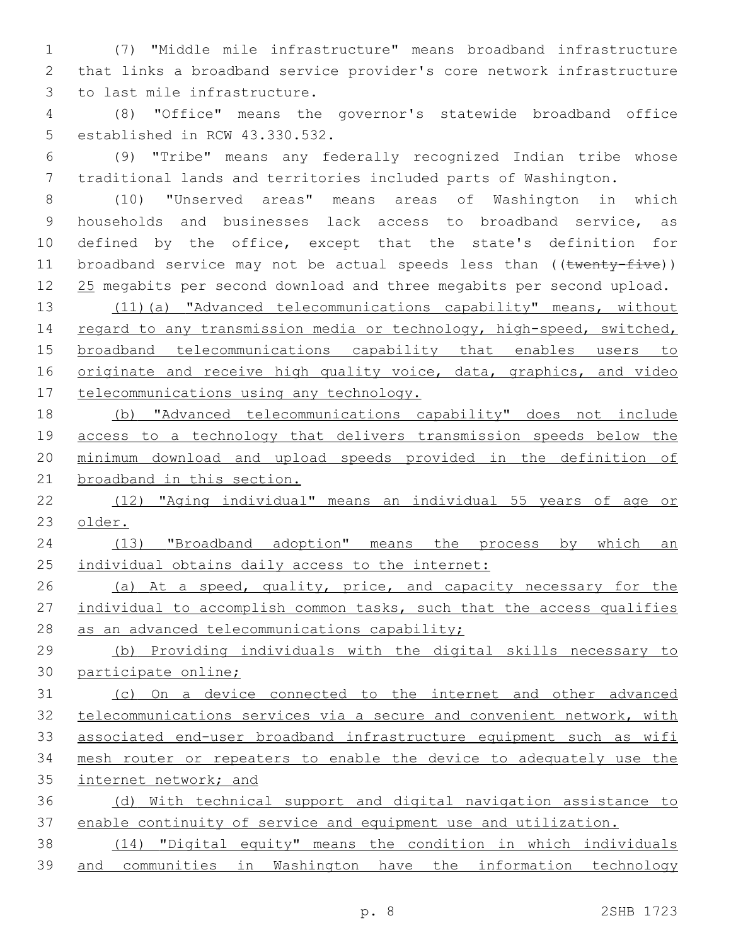(7) "Middle mile infrastructure" means broadband infrastructure that links a broadband service provider's core network infrastructure 3 to last mile infrastructure.

 (8) "Office" means the governor's statewide broadband office 5 established in RCW 43.330.532.

 (9) "Tribe" means any federally recognized Indian tribe whose traditional lands and territories included parts of Washington.

 (10) "Unserved areas" means areas of Washington in which households and businesses lack access to broadband service, as defined by the office, except that the state's definition for 11 broadband service may not be actual speeds less than ((twenty-five)) 12 25 megabits per second download and three megabits per second upload.

 (11)(a) "Advanced telecommunications capability" means, without 14 regard to any transmission media or technology, high-speed, switched, broadband telecommunications capability that enables users to 16 originate and receive high quality voice, data, graphics, and video 17 telecommunications using any technology.

 (b) "Advanced telecommunications capability" does not include access to a technology that delivers transmission speeds below the minimum download and upload speeds provided in the definition of broadband in this section.

 (12) "Aging individual" means an individual 55 years of age or older.

 (13) "Broadband adoption" means the process by which an 25 individual obtains daily access to the internet:

26 (a) At a speed, quality, price, and capacity necessary for the 27 individual to accomplish common tasks, such that the access qualifies 28 as an advanced telecommunications capability;

 (b) Providing individuals with the digital skills necessary to participate online;

 (c) On a device connected to the internet and other advanced telecommunications services via a secure and convenient network, with associated end-user broadband infrastructure equipment such as wifi mesh router or repeaters to enable the device to adequately use the internet network; and

 (d) With technical support and digital navigation assistance to enable continuity of service and equipment use and utilization.

 (14) "Digital equity" means the condition in which individuals and communities in Washington have the information technology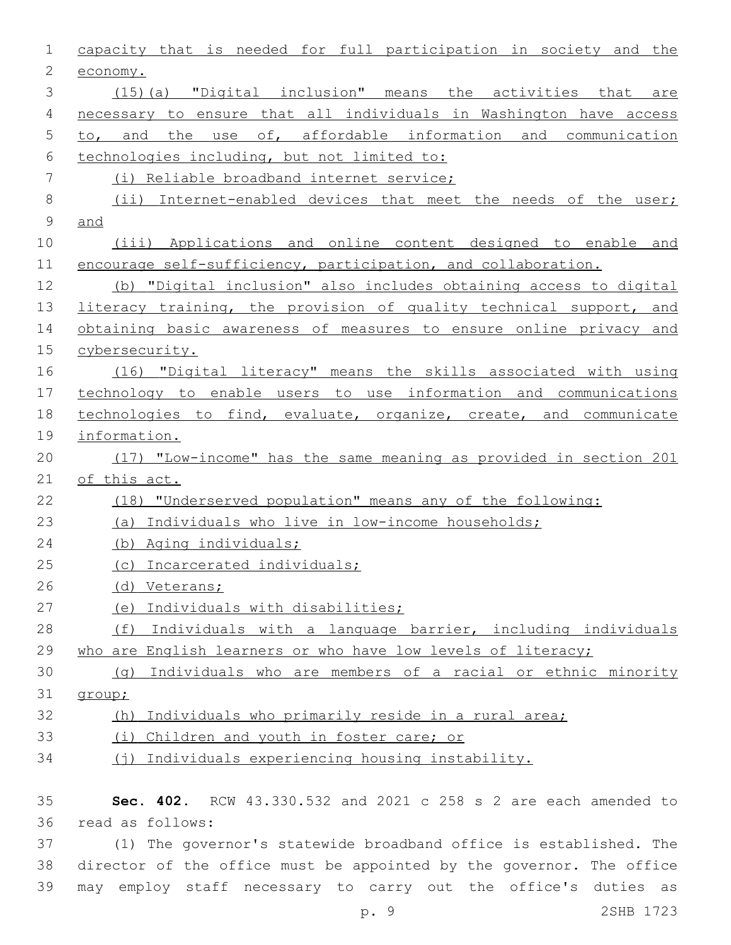| 1            | capacity that is needed for full participation in society and the  |
|--------------|--------------------------------------------------------------------|
| $\mathbf{2}$ | economy.                                                           |
| 3            | (15)(a) "Digital inclusion" means the activities that are          |
| 4            | necessary to ensure that all individuals in Washington have access |
| 5            | to, and the use of, affordable information and communication       |
| 6            | technologies including, but not limited to:                        |
| 7            | (i) Reliable broadband internet service;                           |
| 8            | (ii) Internet-enabled devices that meet the needs of the user;     |
| 9            | and                                                                |
| 10           | (iii) Applications and online content designed to enable and       |
| 11           | encourage self-sufficiency, participation, and collaboration.      |
| 12           | (b) "Digital inclusion" also includes obtaining access to digital  |
| 13           | literacy training, the provision of quality technical support, and |
| 14           | obtaining basic awareness of measures to ensure online privacy and |
| 15           | cybersecurity.                                                     |
| 16           | (16) "Digital literacy" means the skills associated with using     |
| 17           | technology to enable users to use information and communications   |
| 18           | technologies to find, evaluate, organize, create, and communicate  |
| 19           | information.                                                       |
| 20           | (17) "Low-income" has the same meaning as provided in section 201  |
| 21           | of this act.                                                       |
| 22           | (18) "Underserved population" means any of the following:          |
| 23           | (a) Individuals who live in low-income households;                 |
| 24           | (b) Aging individuals;                                             |
| 25           | (c) Incarcerated individuals;                                      |
| 26           | (d) Veterans;                                                      |
| 27           | (e) Individuals with disabilities;                                 |
| 28           | (f) Individuals with a language barrier, including individuals     |
| 29           | who are English learners or who have low levels of literacy;       |
| 30           | (q) Individuals who are members of a racial or ethnic minority     |
| 31           | group;                                                             |
| 32           | Individuals who primarily reside in a rural area;<br>(h)           |
| 33           | Children and youth in foster care; or<br>(i)                       |
| 34           | (j) Individuals experiencing housing instability.                  |
| 35           | Sec. 402. RCW 43.330.532 and 2021 c 258 s 2 are each amended to    |
| 36           | read as follows:                                                   |
| つワ           | $\frac{1}{2}$                                                      |

 (1) The governor's statewide broadband office is established. The director of the office must be appointed by the governor. The office may employ staff necessary to carry out the office's duties as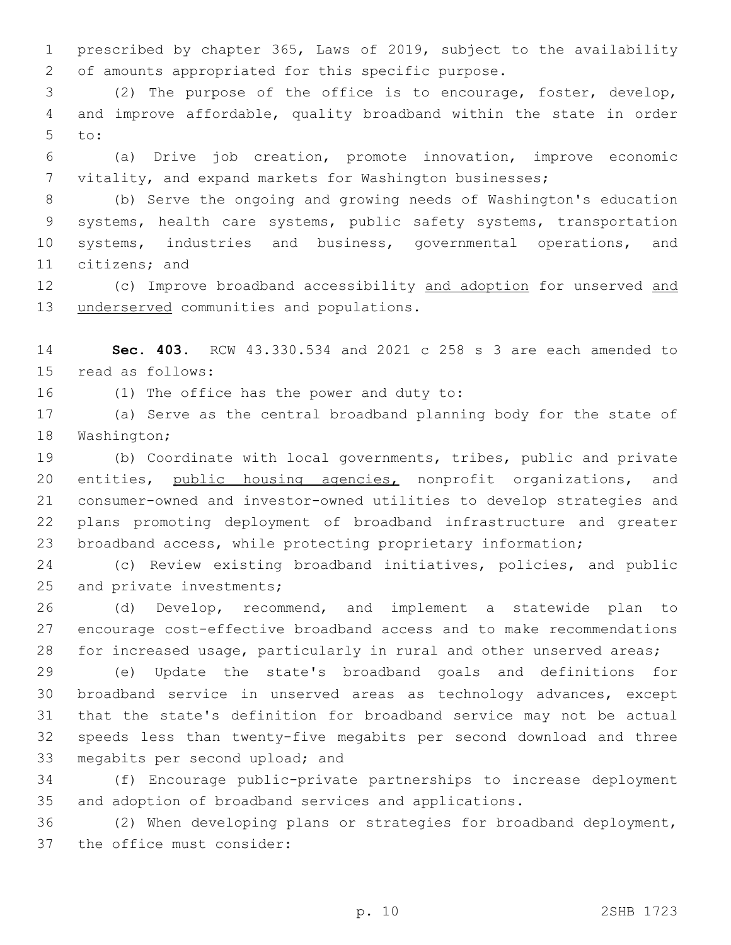prescribed by chapter 365, Laws of 2019, subject to the availability 2 of amounts appropriated for this specific purpose.

 (2) The purpose of the office is to encourage, foster, develop, and improve affordable, quality broadband within the state in order to:5

 (a) Drive job creation, promote innovation, improve economic vitality, and expand markets for Washington businesses;

 (b) Serve the ongoing and growing needs of Washington's education systems, health care systems, public safety systems, transportation systems, industries and business, governmental operations, and 11 citizens; and

12 (c) Improve broadband accessibility and adoption for unserved and 13 underserved communities and populations.

 **Sec. 403.** RCW 43.330.534 and 2021 c 258 s 3 are each amended to 15 read as follows:

16 (1) The office has the power and duty to:

 (a) Serve as the central broadband planning body for the state of 18 Washington;

 (b) Coordinate with local governments, tribes, public and private 20 entities, public housing agencies, nonprofit organizations, and consumer-owned and investor-owned utilities to develop strategies and plans promoting deployment of broadband infrastructure and greater broadband access, while protecting proprietary information;

 (c) Review existing broadband initiatives, policies, and public 25 and private investments;

 (d) Develop, recommend, and implement a statewide plan to encourage cost-effective broadband access and to make recommendations for increased usage, particularly in rural and other unserved areas;

 (e) Update the state's broadband goals and definitions for broadband service in unserved areas as technology advances, except that the state's definition for broadband service may not be actual speeds less than twenty-five megabits per second download and three 33 megabits per second upload; and

 (f) Encourage public-private partnerships to increase deployment and adoption of broadband services and applications.

 (2) When developing plans or strategies for broadband deployment, 37 the office must consider: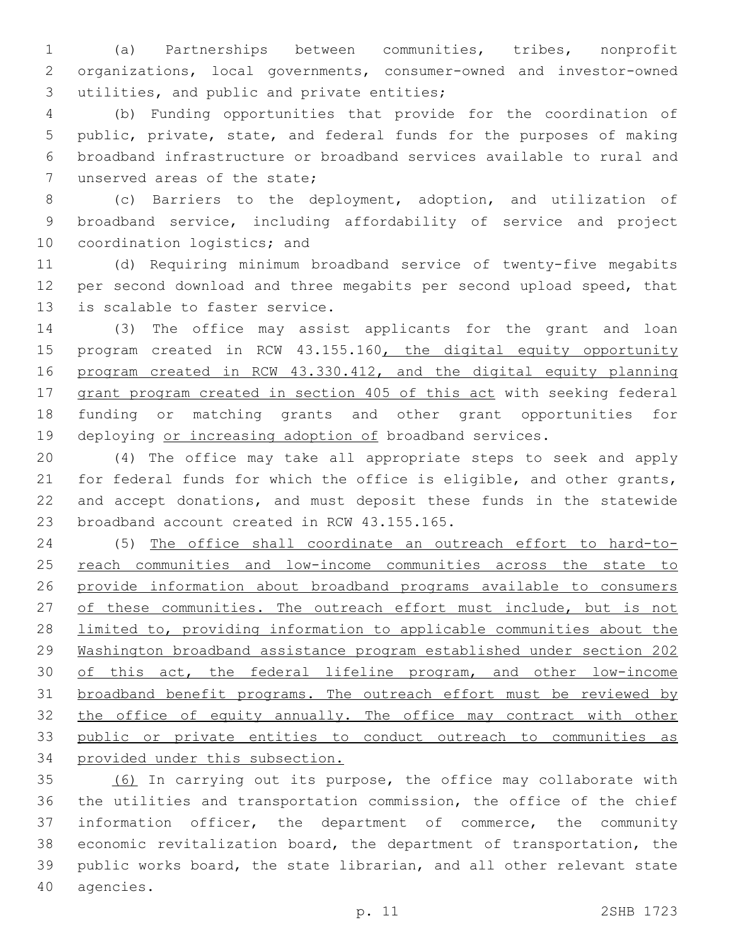(a) Partnerships between communities, tribes, nonprofit organizations, local governments, consumer-owned and investor-owned 3 utilities, and public and private entities;

 (b) Funding opportunities that provide for the coordination of public, private, state, and federal funds for the purposes of making broadband infrastructure or broadband services available to rural and 7 unserved areas of the state;

 (c) Barriers to the deployment, adoption, and utilization of broadband service, including affordability of service and project 10 coordination logistics; and

 (d) Requiring minimum broadband service of twenty-five megabits per second download and three megabits per second upload speed, that 13 is scalable to faster service.

 (3) The office may assist applicants for the grant and loan 15 program created in RCW 43.155.160, the digital equity opportunity program created in RCW 43.330.412, and the digital equity planning 17 grant program created in section 405 of this act with seeking federal funding or matching grants and other grant opportunities for 19 deploying or increasing adoption of broadband services.

 (4) The office may take all appropriate steps to seek and apply for federal funds for which the office is eligible, and other grants, and accept donations, and must deposit these funds in the statewide 23 broadband account created in RCW 43.155.165.

 (5) The office shall coordinate an outreach effort to hard-to-25 reach communities and low-income communities across the state to provide information about broadband programs available to consumers 27 of these communities. The outreach effort must include, but is not limited to, providing information to applicable communities about the Washington broadband assistance program established under section 202 30 of this act, the federal lifeline program, and other low-income broadband benefit programs. The outreach effort must be reviewed by 32 the office of equity annually. The office may contract with other public or private entities to conduct outreach to communities as provided under this subsection.

 (6) In carrying out its purpose, the office may collaborate with the utilities and transportation commission, the office of the chief information officer, the department of commerce, the community economic revitalization board, the department of transportation, the public works board, the state librarian, and all other relevant state 40 agencies.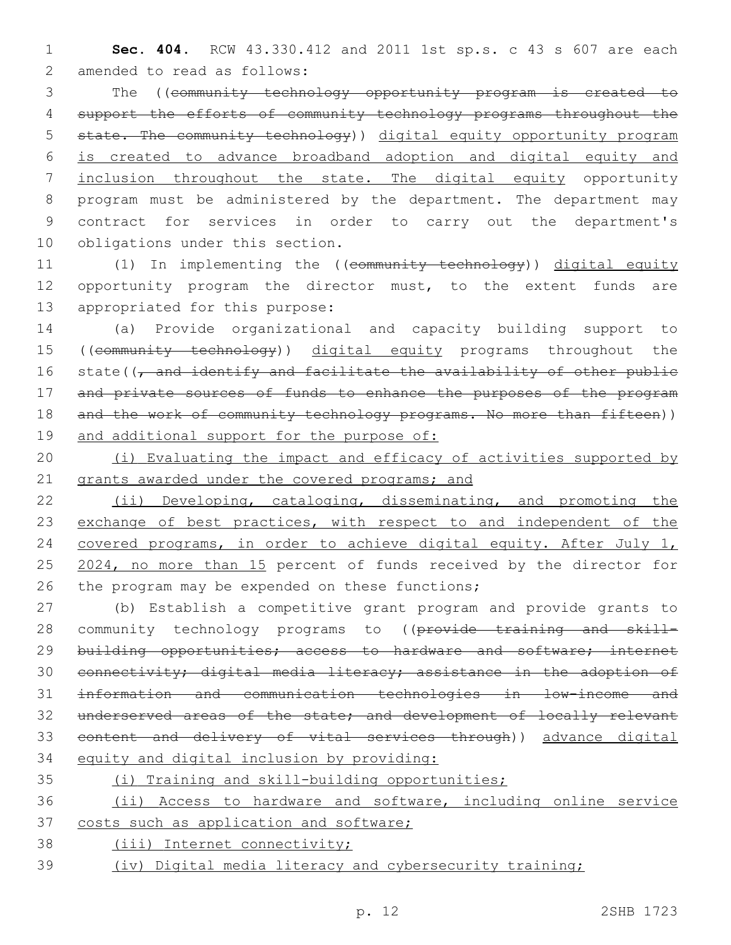1 **Sec. 404.** RCW 43.330.412 and 2011 1st sp.s. c 43 s 607 are each 2 amended to read as follows:

 The ((community technology opportunity program is created to support the efforts of community technology programs throughout the state. The community technology)) digital equity opportunity program is created to advance broadband adoption and digital equity and 7 inclusion throughout the state. The digital equity opportunity program must be administered by the department. The department may contract for services in order to carry out the department's 10 obligations under this section.

11 (1) In implementing the ((community technology)) digital equity 12 opportunity program the director must, to the extent funds are 13 appropriated for this purpose:

14 (a) Provide organizational and capacity building support to 15 ((community technology)) digital equity programs throughout the 16 state((, and identify and facilitate the availability of other public 17 and private sources of funds to enhance the purposes of the program 18 and the work of community technology programs. No more than fifteen)) 19 and additional support for the purpose of:

20 (i) Evaluating the impact and efficacy of activities supported by 21 grants awarded under the covered programs; and

22 (ii) Developing, cataloging, disseminating, and promoting the 23 exchange of best practices, with respect to and independent of the 24 covered programs, in order to achieve digital equity. After July 1, 25 2024, no more than 15 percent of funds received by the director for 26 the program may be expended on these functions;

 (b) Establish a competitive grant program and provide grants to 28 community technology programs to ((provide training and skill-29 building opportunities; access to hardware and software; internet connectivity; digital media literacy; assistance in the adoption of information and communication technologies in low-income and underserved areas of the state; and development of locally relevant content and delivery of vital services through)) advance digital equity and digital inclusion by providing:

 (i) Training and skill-building opportunities; (ii) Access to hardware and software, including online service 37 costs such as application and software; (iii) Internet connectivity;

39 (iv) Digital media literacy and cybersecurity training;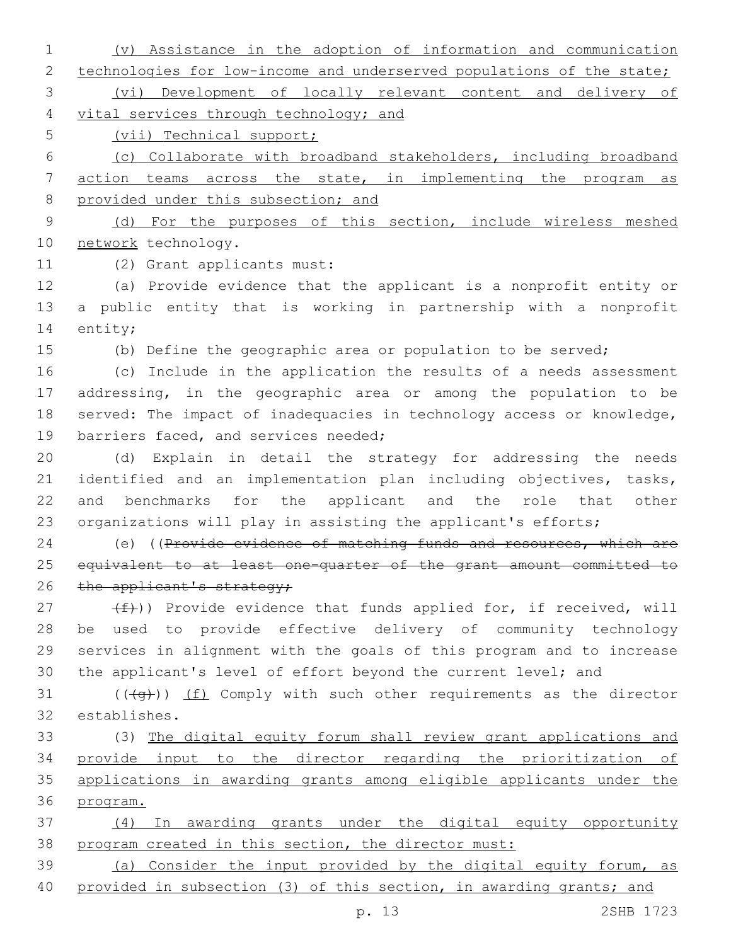(v) Assistance in the adoption of information and communication 2 technologies for low-income and underserved populations of the state; (vi) Development of locally relevant content and delivery of vital services through technology; and (vii) Technical support; (c) Collaborate with broadband stakeholders, including broadband action teams across the state, in implementing the program as 8 provided under this subsection; and (d) For the purposes of this section, include wireless meshed 10 network technology. 11 (2) Grant applicants must: (a) Provide evidence that the applicant is a nonprofit entity or a public entity that is working in partnership with a nonprofit 14 entity; (b) Define the geographic area or population to be served; (c) Include in the application the results of a needs assessment addressing, in the geographic area or among the population to be 18 served: The impact of inadequacies in technology access or knowledge, 19 barriers faced, and services needed; (d) Explain in detail the strategy for addressing the needs 21 identified and an implementation plan including objectives, tasks, and benchmarks for the applicant and the role that other organizations will play in assisting the applicant's efforts; 24 (e) ((Provide evidence of matching funds and resources, which are equivalent to at least one-quarter of the grant amount committed to 26 the applicant's strategy;  $(f)$ ) Provide evidence that funds applied for, if received, will be used to provide effective delivery of community technology services in alignment with the goals of this program and to increase the applicant's level of effort beyond the current level; and  $((+g+))$   $(f)$  Comply with such other requirements as the director establishes.32 (3) The digital equity forum shall review grant applications and provide input to the director regarding the prioritization of applications in awarding grants among eligible applicants under the program. (4) In awarding grants under the digital equity opportunity program created in this section, the director must: (a) Consider the input provided by the digital equity forum, as provided in subsection (3) of this section, in awarding grants; and

p. 13 2SHB 1723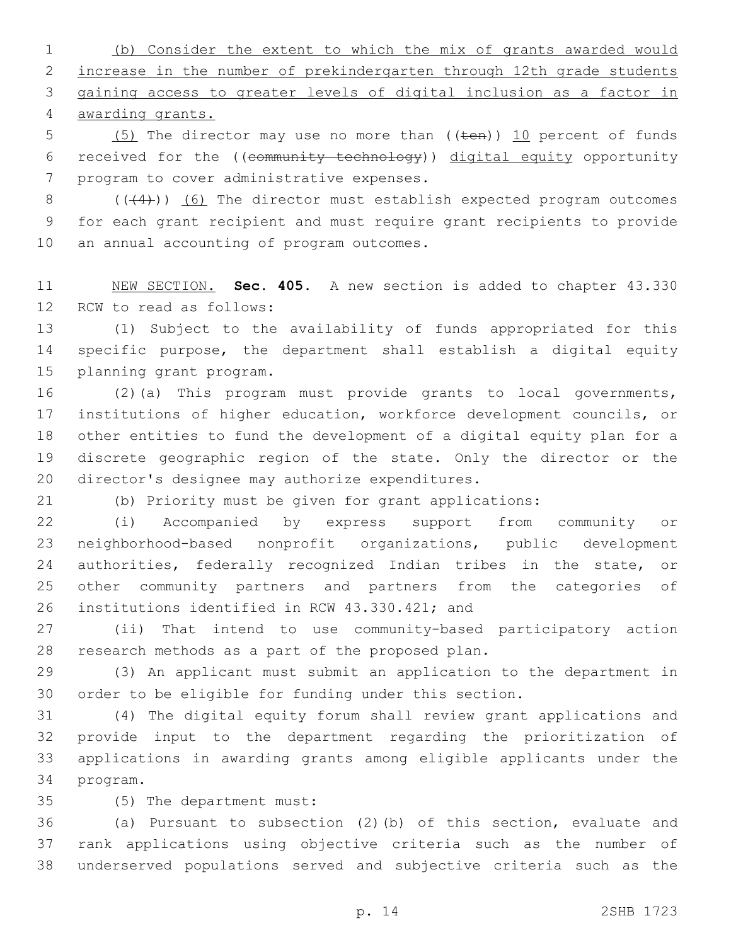(b) Consider the extent to which the mix of grants awarded would increase in the number of prekindergarten through 12th grade students gaining access to greater levels of digital inclusion as a factor in awarding grants.

5  $(5)$  The director may use no more than  $((\text{ten}))$  10 percent of funds received for the ((community technology)) digital equity opportunity 7 program to cover administrative expenses.

 ( $(4)$ )) (6) The director must establish expected program outcomes for each grant recipient and must require grant recipients to provide 10 an annual accounting of program outcomes.

 NEW SECTION. **Sec. 405.** A new section is added to chapter 43.330 12 RCW to read as follows:

 (1) Subject to the availability of funds appropriated for this specific purpose, the department shall establish a digital equity 15 planning grant program.

 (2)(a) This program must provide grants to local governments, institutions of higher education, workforce development councils, or other entities to fund the development of a digital equity plan for a discrete geographic region of the state. Only the director or the 20 director's designee may authorize expenditures.

(b) Priority must be given for grant applications:

 (i) Accompanied by express support from community or neighborhood-based nonprofit organizations, public development 24 authorities, federally recognized Indian tribes in the state, or other community partners and partners from the categories of 26 institutions identified in RCW 43.330.421; and

 (ii) That intend to use community-based participatory action 28 research methods as a part of the proposed plan.

 (3) An applicant must submit an application to the department in order to be eligible for funding under this section.

 (4) The digital equity forum shall review grant applications and provide input to the department regarding the prioritization of applications in awarding grants among eligible applicants under the 34 program.

(5) The department must:35

 (a) Pursuant to subsection (2)(b) of this section, evaluate and rank applications using objective criteria such as the number of underserved populations served and subjective criteria such as the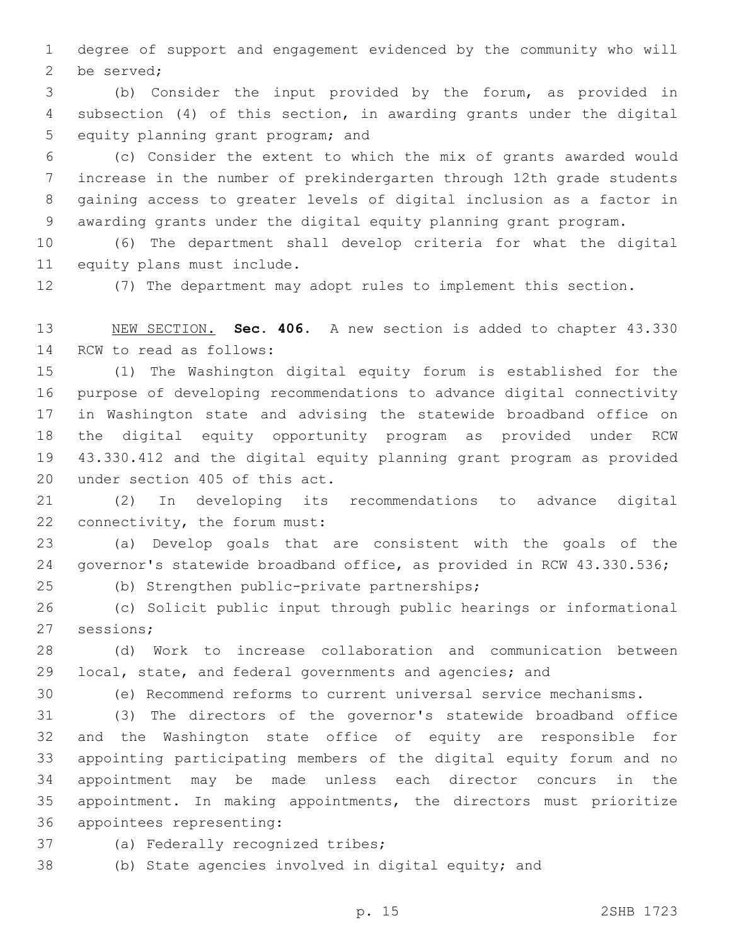degree of support and engagement evidenced by the community who will 2 be served;

 (b) Consider the input provided by the forum, as provided in subsection (4) of this section, in awarding grants under the digital 5 equity planning grant program; and

 (c) Consider the extent to which the mix of grants awarded would increase in the number of prekindergarten through 12th grade students gaining access to greater levels of digital inclusion as a factor in awarding grants under the digital equity planning grant program.

 (6) The department shall develop criteria for what the digital 11 equity plans must include.

(7) The department may adopt rules to implement this section.

 NEW SECTION. **Sec. 406.** A new section is added to chapter 43.330 14 RCW to read as follows:

 (1) The Washington digital equity forum is established for the purpose of developing recommendations to advance digital connectivity in Washington state and advising the statewide broadband office on the digital equity opportunity program as provided under RCW 43.330.412 and the digital equity planning grant program as provided 20 under section 405 of this act.

 (2) In developing its recommendations to advance digital 22 connectivity, the forum must:

 (a) Develop goals that are consistent with the goals of the governor's statewide broadband office, as provided in RCW 43.330.536;

(b) Strengthen public-private partnerships;25

 (c) Solicit public input through public hearings or informational 27 sessions;

 (d) Work to increase collaboration and communication between local, state, and federal governments and agencies; and

(e) Recommend reforms to current universal service mechanisms.

 (3) The directors of the governor's statewide broadband office and the Washington state office of equity are responsible for appointing participating members of the digital equity forum and no appointment may be made unless each director concurs in the appointment. In making appointments, the directors must prioritize 36 appointees representing:

37 (a) Federally recognized tribes;

(b) State agencies involved in digital equity; and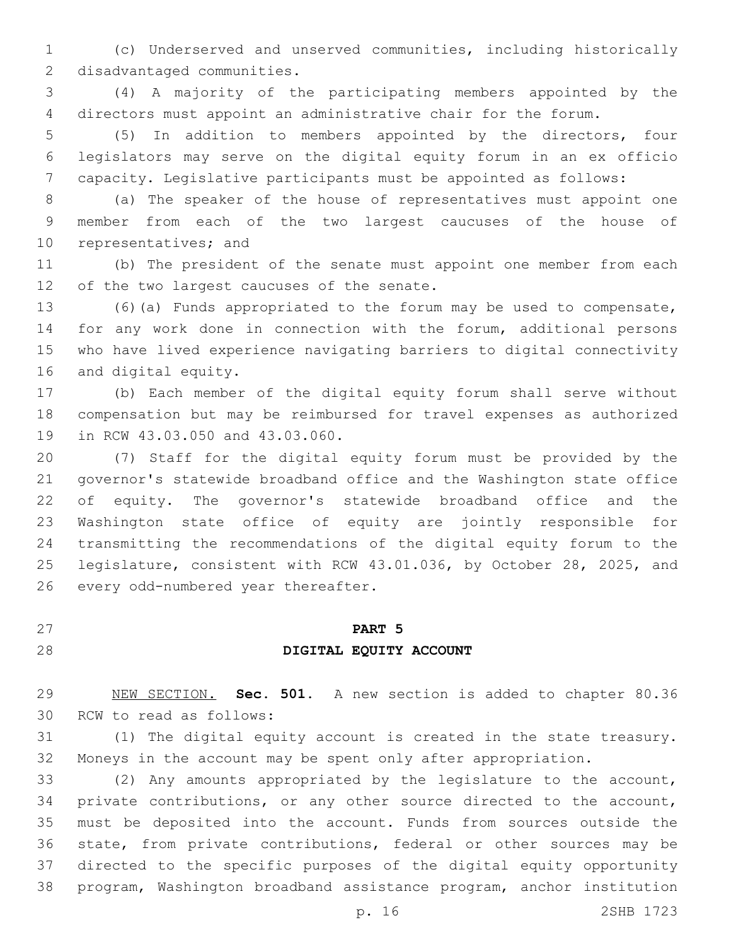(c) Underserved and unserved communities, including historically 2 disadvantaged communities.

 (4) A majority of the participating members appointed by the directors must appoint an administrative chair for the forum.

 (5) In addition to members appointed by the directors, four legislators may serve on the digital equity forum in an ex officio capacity. Legislative participants must be appointed as follows:

 (a) The speaker of the house of representatives must appoint one member from each of the two largest caucuses of the house of 10 representatives; and

 (b) The president of the senate must appoint one member from each 12 of the two largest caucuses of the senate.

 (6)(a) Funds appropriated to the forum may be used to compensate, for any work done in connection with the forum, additional persons who have lived experience navigating barriers to digital connectivity 16 and digital equity.

 (b) Each member of the digital equity forum shall serve without compensation but may be reimbursed for travel expenses as authorized 19 in RCW 43.03.050 and 43.03.060.

 (7) Staff for the digital equity forum must be provided by the governor's statewide broadband office and the Washington state office of equity. The governor's statewide broadband office and the Washington state office of equity are jointly responsible for transmitting the recommendations of the digital equity forum to the legislature, consistent with RCW 43.01.036, by October 28, 2025, and 26 every odd-numbered year thereafter.

# **PART 5**

## **DIGITAL EQUITY ACCOUNT**

 NEW SECTION. **Sec. 501.** A new section is added to chapter 80.36 30 RCW to read as follows:

 (1) The digital equity account is created in the state treasury. Moneys in the account may be spent only after appropriation.

 (2) Any amounts appropriated by the legislature to the account, private contributions, or any other source directed to the account, must be deposited into the account. Funds from sources outside the state, from private contributions, federal or other sources may be directed to the specific purposes of the digital equity opportunity program, Washington broadband assistance program, anchor institution